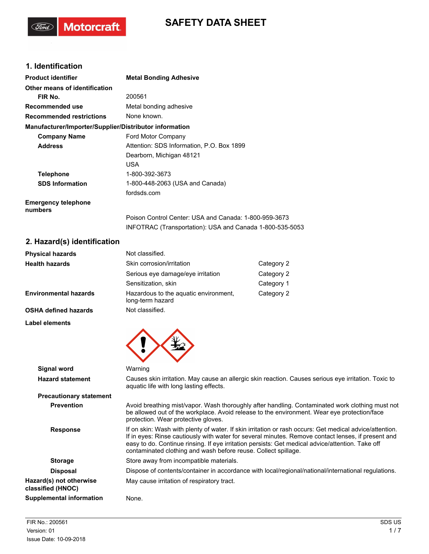# **SAFETY DATA SHEET**

## **1. Identification**

(Ford)

Motorcraft.

| <b>Product identifier</b>                              | <b>Metal Bonding Adhesive</b>                                                                                     |
|--------------------------------------------------------|-------------------------------------------------------------------------------------------------------------------|
| Other means of identification                          |                                                                                                                   |
| FIR No.                                                | 200561                                                                                                            |
| Recommended use                                        | Metal bonding adhesive                                                                                            |
| <b>Recommended restrictions</b>                        | None known.                                                                                                       |
| Manufacturer/Importer/Supplier/Distributor information |                                                                                                                   |
| <b>Company Name</b>                                    | Ford Motor Company                                                                                                |
| <b>Address</b>                                         | Attention: SDS Information, P.O. Box 1899                                                                         |
|                                                        | Dearborn, Michigan 48121                                                                                          |
|                                                        | <b>USA</b>                                                                                                        |
| <b>Telephone</b>                                       | 1-800-392-3673                                                                                                    |
| <b>SDS Information</b>                                 | 1-800-448-2063 (USA and Canada)                                                                                   |
|                                                        | fordsds.com                                                                                                       |
| <b>Emergency telephone</b><br>numbers                  |                                                                                                                   |
|                                                        | Poison Control Center: USA and Canada: 1-800-959-3673<br>INFOTRAC (Transportation): USA and Canada 1-800-535-5053 |
|                                                        |                                                                                                                   |

## **2. Hazard(s) identification**

| <b>Physical hazards</b>      | Not classified.                                           |            |
|------------------------------|-----------------------------------------------------------|------------|
| <b>Health hazards</b>        | Skin corrosion/irritation                                 | Category 2 |
|                              | Serious eye damage/eye irritation                         | Category 2 |
|                              | Sensitization, skin                                       | Category 1 |
| <b>Environmental hazards</b> | Hazardous to the aquatic environment,<br>long-term hazard | Category 2 |
| <b>OSHA defined hazards</b>  | Not classified.                                           |            |
| Label elements               |                                                           |            |



|                                              | $\boldsymbol{\mathcal{F}}$                                                                                                                                                                                                                                                                                                                                                          |
|----------------------------------------------|-------------------------------------------------------------------------------------------------------------------------------------------------------------------------------------------------------------------------------------------------------------------------------------------------------------------------------------------------------------------------------------|
| Signal word                                  | Warning                                                                                                                                                                                                                                                                                                                                                                             |
| <b>Hazard statement</b>                      | Causes skin irritation. May cause an allergic skin reaction. Causes serious eye irritation. Toxic to<br>aquatic life with long lasting effects.                                                                                                                                                                                                                                     |
| <b>Precautionary statement</b>               |                                                                                                                                                                                                                                                                                                                                                                                     |
| <b>Prevention</b>                            | Avoid breathing mist/vapor. Wash thoroughly after handling. Contaminated work clothing must not<br>be allowed out of the workplace. Avoid release to the environment. Wear eye protection/face<br>protection. Wear protective gloves.                                                                                                                                               |
| <b>Response</b>                              | If on skin: Wash with plenty of water. If skin irritation or rash occurs: Get medical advice/attention.<br>If in eyes: Rinse cautiously with water for several minutes. Remove contact lenses, if present and<br>easy to do. Continue rinsing. If eye irritation persists: Get medical advice/attention. Take off<br>contaminated clothing and wash before reuse. Collect spillage. |
| <b>Storage</b>                               | Store away from incompatible materials.                                                                                                                                                                                                                                                                                                                                             |
| <b>Disposal</b>                              | Dispose of contents/container in accordance with local/regional/national/international regulations.                                                                                                                                                                                                                                                                                 |
| Hazard(s) not otherwise<br>classified (HNOC) | May cause irritation of respiratory tract.                                                                                                                                                                                                                                                                                                                                          |
| Supplemental information                     | None.                                                                                                                                                                                                                                                                                                                                                                               |
|                                              |                                                                                                                                                                                                                                                                                                                                                                                     |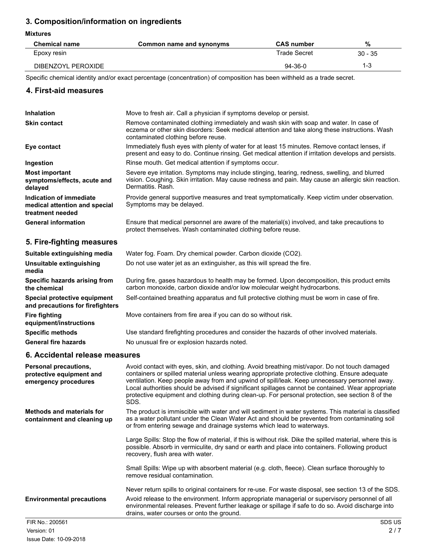## **3. Composition/information on ingredients**

**Mixtures**

| <b>Chemical name</b> | Common name and synonyms | <b>CAS number</b> | %         |
|----------------------|--------------------------|-------------------|-----------|
| Epoxy resin          |                          | Trade Secret      | $30 - 35$ |
| DIBENZOYL PEROXIDE   |                          | $94-36-0$         | 1-3       |

Specific chemical identity and/or exact percentage (concentration) of composition has been withheld as a trade secret.

#### **4. First-aid measures**

| <b>Inhalation</b>                                                            | Move to fresh air. Call a physician if symptoms develop or persist.                                                                                                                                                             |
|------------------------------------------------------------------------------|---------------------------------------------------------------------------------------------------------------------------------------------------------------------------------------------------------------------------------|
| <b>Skin contact</b>                                                          | Remove contaminated clothing immediately and wash skin with soap and water. In case of<br>eczema or other skin disorders: Seek medical attention and take along these instructions. Wash<br>contaminated clothing before reuse. |
| Eye contact                                                                  | Immediately flush eyes with plenty of water for at least 15 minutes. Remove contact lenses, if<br>present and easy to do. Continue rinsing. Get medical attention if irritation develops and persists.                          |
| Ingestion                                                                    | Rinse mouth. Get medical attention if symptoms occur.                                                                                                                                                                           |
| <b>Most important</b><br>symptoms/effects, acute and<br>delayed              | Severe eye irritation. Symptoms may include stinging, tearing, redness, swelling, and blurred<br>vision. Coughing. Skin irritation. May cause redness and pain. May cause an allergic skin reaction.<br>Dermatitis, Rash.       |
| Indication of immediate<br>medical attention and special<br>treatment needed | Provide general supportive measures and treat symptomatically. Keep victim under observation.<br>Symptoms may be delayed.                                                                                                       |
| <b>General information</b>                                                   | Ensure that medical personnel are aware of the material(s) involved, and take precautions to<br>protect themselves. Wash contaminated clothing before reuse.                                                                    |
| 5. Fire-fighting measures                                                    |                                                                                                                                                                                                                                 |

#### **Suitable extinguishing media** Water fog. Foam. Dry chemical powder. Carbon dioxide (CO2). **Unsuitable extinguishing** Do not use water jet as an extinguisher, as this will spread the fire. **media** During fire, gases hazardous to health may be formed. Upon decomposition, this product emits carbon monoxide, carbon dioxide and/or low molecular weight hydrocarbons. **Specific hazards arising from the chemical Special protective equipment** Self-contained breathing apparatus and full protective clothing must be worn in case of fire. **and precautions for firefighters Fire fighting** Move containers from fire area if you can do so without risk. **equipment/instructions Specific methods** Use standard firefighting procedures and consider the hazards of other involved materials. General fire hazards **No unusual fire or explosion hazards noted.**

#### **6. Accidental release measures**

| <b>Personal precautions,</b><br>protective equipment and<br>emergency procedures | Avoid contact with eyes, skin, and clothing. Avoid breathing mist/vapor. Do not touch damaged<br>containers or spilled material unless wearing appropriate protective clothing. Ensure adequate<br>ventilation. Keep people away from and upwind of spill/leak. Keep unnecessary personnel away.<br>Local authorities should be advised if significant spillages cannot be contained. Wear appropriate<br>protective equipment and clothing during clean-up. For personal protection, see section 8 of the<br>SDS. |
|----------------------------------------------------------------------------------|--------------------------------------------------------------------------------------------------------------------------------------------------------------------------------------------------------------------------------------------------------------------------------------------------------------------------------------------------------------------------------------------------------------------------------------------------------------------------------------------------------------------|
| <b>Methods and materials for</b><br>containment and cleaning up                  | The product is immiscible with water and will sediment in water systems. This material is classified<br>as a water pollutant under the Clean Water Act and should be prevented from contaminating soil<br>or from entering sewage and drainage systems which lead to waterways.                                                                                                                                                                                                                                    |
|                                                                                  | Large Spills: Stop the flow of material, if this is without risk. Dike the spilled material, where this is<br>possible. Absorb in vermiculite, dry sand or earth and place into containers. Following product<br>recovery, flush area with water.                                                                                                                                                                                                                                                                  |
|                                                                                  | Small Spills: Wipe up with absorbent material (e.g. cloth, fleece). Clean surface thoroughly to<br>remove residual contamination.                                                                                                                                                                                                                                                                                                                                                                                  |
|                                                                                  | Never return spills to original containers for re-use. For waste disposal, see section 13 of the SDS.                                                                                                                                                                                                                                                                                                                                                                                                              |
| <b>Environmental precautions</b>                                                 | Avoid release to the environment. Inform appropriate managerial or supervisory personnel of all<br>environmental releases. Prevent further leakage or spillage if safe to do so. Avoid discharge into<br>drains, water courses or onto the ground.                                                                                                                                                                                                                                                                 |
| FIR No.: 200561                                                                  | SDS US                                                                                                                                                                                                                                                                                                                                                                                                                                                                                                             |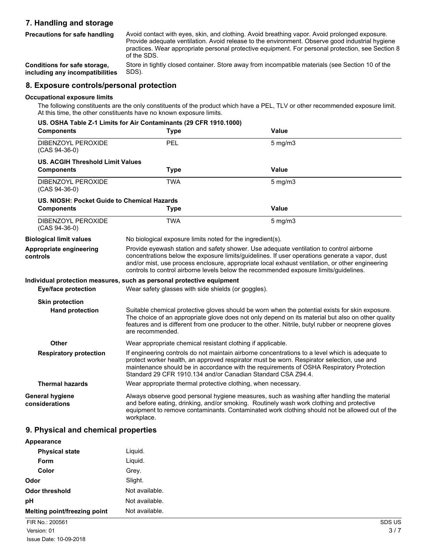### **7. Handling and storage**

Avoid contact with eyes, skin, and clothing. Avoid breathing vapor. Avoid prolonged exposure. Provide adequate ventilation. Avoid release to the environment. Observe good industrial hygiene practices. Wear appropriate personal protective equipment. For personal protection, see Section 8 of the SDS. **Precautions for safe handling**

Store in tightly closed container. Store away from incompatible materials (see Section 10 of the SDS). **Conditions for safe storage, including any incompatibilities**

#### **8. Exposure controls/personal protection**

#### **Occupational exposure limits**

The following constituents are the only constituents of the product which have a PEL, TLV or other recommended exposure limit. At this time, the other constituents have no known exposure limits.

|                                             | US. OSHA Table Z-1 Limits for Air Contaminants (29 CFR 1910.1000)                                                                                                                                                                                                                                                                                                                     |                                                               |  |
|---------------------------------------------|---------------------------------------------------------------------------------------------------------------------------------------------------------------------------------------------------------------------------------------------------------------------------------------------------------------------------------------------------------------------------------------|---------------------------------------------------------------|--|
| <b>Components</b>                           | <b>Type</b>                                                                                                                                                                                                                                                                                                                                                                           | <b>Value</b>                                                  |  |
| DIBENZOYL PEROXIDE<br>$(CAS 94-36-0)$       | PEL                                                                                                                                                                                                                                                                                                                                                                                   | $5$ mg/m $3$                                                  |  |
| <b>US. ACGIH Threshold Limit Values</b>     |                                                                                                                                                                                                                                                                                                                                                                                       |                                                               |  |
| <b>Components</b>                           | <b>Type</b>                                                                                                                                                                                                                                                                                                                                                                           | <b>Value</b>                                                  |  |
| DIBENZOYL PEROXIDE<br>$(CAS 94-36-0)$       | <b>TWA</b>                                                                                                                                                                                                                                                                                                                                                                            | $5$ mg/m $3$                                                  |  |
| US. NIOSH: Pocket Guide to Chemical Hazards |                                                                                                                                                                                                                                                                                                                                                                                       |                                                               |  |
| <b>Components</b>                           | <b>Type</b>                                                                                                                                                                                                                                                                                                                                                                           | <b>Value</b>                                                  |  |
| DIBENZOYL PEROXIDE<br>$(CAS 94-36-0)$       | <b>TWA</b>                                                                                                                                                                                                                                                                                                                                                                            | $5$ mg/m $3$                                                  |  |
| <b>Biological limit values</b>              | No biological exposure limits noted for the ingredient(s).                                                                                                                                                                                                                                                                                                                            |                                                               |  |
| Appropriate engineering<br>controls         | Provide eyewash station and safety shower. Use adequate ventilation to control airborne<br>concentrations below the exposure limits/guidelines. If user operations generate a vapor, dust<br>and/or mist, use process enclosure, appropriate local exhaust ventilation, or other engineering<br>controls to control airborne levels below the recommended exposure limits/guidelines. |                                                               |  |
|                                             | Individual protection measures, such as personal protective equipment                                                                                                                                                                                                                                                                                                                 |                                                               |  |
| <b>Eye/face protection</b>                  | Wear safety glasses with side shields (or goggles).                                                                                                                                                                                                                                                                                                                                   |                                                               |  |
| <b>Skin protection</b>                      |                                                                                                                                                                                                                                                                                                                                                                                       |                                                               |  |
| <b>Hand protection</b>                      | Suitable chemical protective gloves should be worn when the potential exists for skin exposure.<br>The choice of an appropriate glove does not only depend on its material but also on other quality<br>features and is different from one producer to the other. Nitrile, butyl rubber or neoprene gloves<br>are recommended.                                                        |                                                               |  |
| <b>Other</b>                                |                                                                                                                                                                                                                                                                                                                                                                                       | Wear appropriate chemical resistant clothing if applicable.   |  |
| <b>Respiratory protection</b>               | If engineering controls do not maintain airborne concentrations to a level which is adequate to<br>protect worker health, an approved respirator must be worn. Respirator selection, use and<br>maintenance should be in accordance with the requirements of OSHA Respiratory Protection<br>Standard 29 CFR 1910.134 and/or Canadian Standard CSA Z94.4.                              |                                                               |  |
| <b>Thermal hazards</b>                      |                                                                                                                                                                                                                                                                                                                                                                                       | Wear appropriate thermal protective clothing, when necessary. |  |
| General hygiene<br>considerations           | Always observe good personal hygiene measures, such as washing after handling the material<br>and before eating, drinking, and/or smoking. Routinely wash work clothing and protective<br>equipment to remove contaminants. Contaminated work clothing should not be allowed out of the<br>workplace.                                                                                 |                                                               |  |

#### **9. Physical and chemical properties**

| Appearance                   |                |
|------------------------------|----------------|
| <b>Physical state</b>        | Liquid.        |
| Form                         | Liquid.        |
| Color                        | Grey.          |
| <b>Odor</b>                  | Slight.        |
| Odor threshold               | Not available. |
| рH                           | Not available. |
| Melting point/freezing point | Not available. |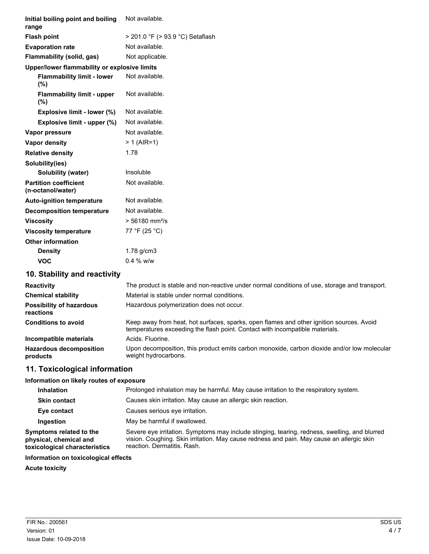| Initial boiling point and boiling<br>range        | Not available.                   |
|---------------------------------------------------|----------------------------------|
| <b>Flash point</b>                                | > 201.0 °F (> 93.9 °C) Setaflash |
| <b>Evaporation rate</b>                           | Not available.                   |
| Flammability (solid, gas)                         | Not applicable.                  |
| Upper/lower flammability or explosive limits      |                                  |
| <b>Flammability limit - lower</b><br>(%)          | Not available.                   |
| <b>Flammability limit - upper</b><br>$(\%)$       | Not available.                   |
| Explosive limit - lower (%)                       | Not available.                   |
| Explosive limit - upper (%)                       | Not available.                   |
| Vapor pressure                                    | Not available.                   |
| Vapor density                                     | $> 1$ (AIR=1)                    |
| <b>Relative density</b>                           | 1.78                             |
| Solubility(ies)                                   |                                  |
| Solubility (water)                                | Insoluble                        |
| <b>Partition coefficient</b><br>(n-octanol/water) | Not available.                   |
| <b>Auto-ignition temperature</b>                  | Not available.                   |
| <b>Decomposition temperature</b>                  | Not available.                   |
| <b>Viscosity</b>                                  | $> 56180$ mm <sup>2</sup> /s     |
| <b>Viscosity temperature</b>                      | 77 °F (25 °C)                    |
| <b>Other information</b>                          |                                  |
| <b>Density</b>                                    | $1.78$ g/cm $3$                  |
| <b>VOC</b>                                        | 0.4 % w/w                        |
| 10. Stability and reactivity                      |                                  |

| <b>Reactivity</b><br><b>Chemical stability</b><br><b>Possibility of hazardous</b><br>reactions | The product is stable and non-reactive under normal conditions of use, storage and transport.<br>Material is stable under normal conditions.<br>Hazardous polymerization does not occur. |
|------------------------------------------------------------------------------------------------|------------------------------------------------------------------------------------------------------------------------------------------------------------------------------------------|
| <b>Conditions to avoid</b>                                                                     | Keep away from heat, hot surfaces, sparks, open flames and other ignition sources. Avoid<br>temperatures exceeding the flash point. Contact with incompatible materials.                 |
| Incompatible materials                                                                         | Acids, Fluorine.                                                                                                                                                                         |
| <b>Hazardous decomposition</b><br>products                                                     | Upon decomposition, this product emits carbon monoxide, carbon dioxide and/or low molecular<br>weight hydrocarbons.                                                                      |

# **11. Toxicological information**

#### **Information on likely routes of exposure**

| Prolonged inhalation may be harmful. May cause irritation to the respiratory system.                                                                                                                                      |
|---------------------------------------------------------------------------------------------------------------------------------------------------------------------------------------------------------------------------|
| Causes skin irritation. May cause an allergic skin reaction.                                                                                                                                                              |
| Causes serious eve irritation.                                                                                                                                                                                            |
| May be harmful if swallowed.                                                                                                                                                                                              |
| Severe eye irritation. Symptoms may include stinging, tearing, redness, swelling, and blurred<br>vision. Coughing. Skin irritation. May cause redness and pain. May cause an allergic skin<br>reaction. Dermatitis. Rash. |
|                                                                                                                                                                                                                           |

### **Information on toxicological effects**

**Acute toxicity**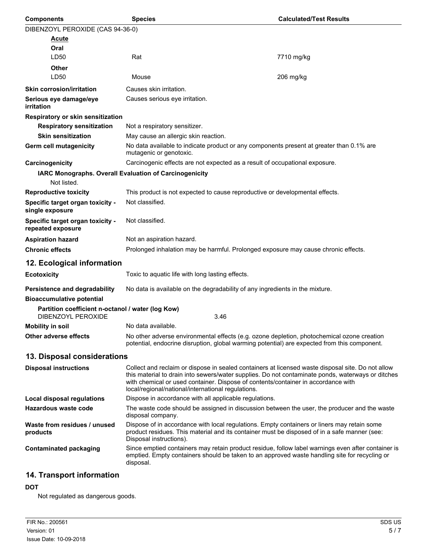| <b>Components</b>                                                       | <b>Species</b>                                                                                                                                                                                                                                                                                                                                    | <b>Calculated/Test Results</b> |
|-------------------------------------------------------------------------|---------------------------------------------------------------------------------------------------------------------------------------------------------------------------------------------------------------------------------------------------------------------------------------------------------------------------------------------------|--------------------------------|
| DIBENZOYL PEROXIDE (CAS 94-36-0)                                        |                                                                                                                                                                                                                                                                                                                                                   |                                |
| Acute                                                                   |                                                                                                                                                                                                                                                                                                                                                   |                                |
| Oral                                                                    |                                                                                                                                                                                                                                                                                                                                                   |                                |
| LD50                                                                    | Rat                                                                                                                                                                                                                                                                                                                                               | 7710 mg/kg                     |
| Other<br>LD50                                                           | Mouse                                                                                                                                                                                                                                                                                                                                             | 206 mg/kg                      |
|                                                                         |                                                                                                                                                                                                                                                                                                                                                   |                                |
| <b>Skin corrosion/irritation</b>                                        | Causes skin irritation.<br>Causes serious eye irritation.                                                                                                                                                                                                                                                                                         |                                |
| Serious eye damage/eye<br>irritation                                    |                                                                                                                                                                                                                                                                                                                                                   |                                |
| Respiratory or skin sensitization                                       |                                                                                                                                                                                                                                                                                                                                                   |                                |
| <b>Respiratory sensitization</b>                                        | Not a respiratory sensitizer.                                                                                                                                                                                                                                                                                                                     |                                |
| <b>Skin sensitization</b>                                               | May cause an allergic skin reaction.                                                                                                                                                                                                                                                                                                              |                                |
| Germ cell mutagenicity                                                  | No data available to indicate product or any components present at greater than 0.1% are<br>mutagenic or genotoxic.                                                                                                                                                                                                                               |                                |
| Carcinogenicity                                                         | Carcinogenic effects are not expected as a result of occupational exposure.                                                                                                                                                                                                                                                                       |                                |
| Not listed.                                                             | IARC Monographs. Overall Evaluation of Carcinogenicity                                                                                                                                                                                                                                                                                            |                                |
| <b>Reproductive toxicity</b>                                            | This product is not expected to cause reproductive or developmental effects.                                                                                                                                                                                                                                                                      |                                |
| Specific target organ toxicity -<br>single exposure                     | Not classified.                                                                                                                                                                                                                                                                                                                                   |                                |
| Specific target organ toxicity -<br>repeated exposure                   | Not classified.                                                                                                                                                                                                                                                                                                                                   |                                |
| <b>Aspiration hazard</b>                                                | Not an aspiration hazard.                                                                                                                                                                                                                                                                                                                         |                                |
| <b>Chronic effects</b>                                                  | Prolonged inhalation may be harmful. Prolonged exposure may cause chronic effects.                                                                                                                                                                                                                                                                |                                |
| 12. Ecological information                                              |                                                                                                                                                                                                                                                                                                                                                   |                                |
| <b>Ecotoxicity</b>                                                      | Toxic to aquatic life with long lasting effects.                                                                                                                                                                                                                                                                                                  |                                |
| Persistence and degradability                                           | No data is available on the degradability of any ingredients in the mixture.                                                                                                                                                                                                                                                                      |                                |
| <b>Bioaccumulative potential</b>                                        |                                                                                                                                                                                                                                                                                                                                                   |                                |
| Partition coefficient n-octanol / water (log Kow)<br>DIBENZOYL PEROXIDE | 3.46                                                                                                                                                                                                                                                                                                                                              |                                |
| <b>Mobility in soil</b>                                                 | No data available.                                                                                                                                                                                                                                                                                                                                |                                |
| Other adverse effects                                                   | No other adverse environmental effects (e.g. ozone depletion, photochemical ozone creation<br>potential, endocrine disruption, global warming potential) are expected from this component.                                                                                                                                                        |                                |
| 13. Disposal considerations                                             |                                                                                                                                                                                                                                                                                                                                                   |                                |
| <b>Disposal instructions</b>                                            | Collect and reclaim or dispose in sealed containers at licensed waste disposal site. Do not allow<br>this material to drain into sewers/water supplies. Do not contaminate ponds, waterways or ditches<br>with chemical or used container. Dispose of contents/container in accordance with<br>local/regional/national/international regulations. |                                |
| <b>Local disposal regulations</b>                                       | Dispose in accordance with all applicable regulations.                                                                                                                                                                                                                                                                                            |                                |
| <b>Hazardous waste code</b>                                             | The waste code should be assigned in discussion between the user, the producer and the waste<br>disposal company.                                                                                                                                                                                                                                 |                                |
| Waste from residues / unused<br>products                                | Dispose of in accordance with local regulations. Empty containers or liners may retain some<br>product residues. This material and its container must be disposed of in a safe manner (see:<br>Disposal instructions).                                                                                                                            |                                |
| <b>Contaminated packaging</b>                                           | Since emptied containers may retain product residue, follow label warnings even after container is<br>emptied. Empty containers should be taken to an approved waste handling site for recycling or<br>disposal.                                                                                                                                  |                                |
|                                                                         |                                                                                                                                                                                                                                                                                                                                                   |                                |

# **14. Transport information**

### **DOT**

Not regulated as dangerous goods.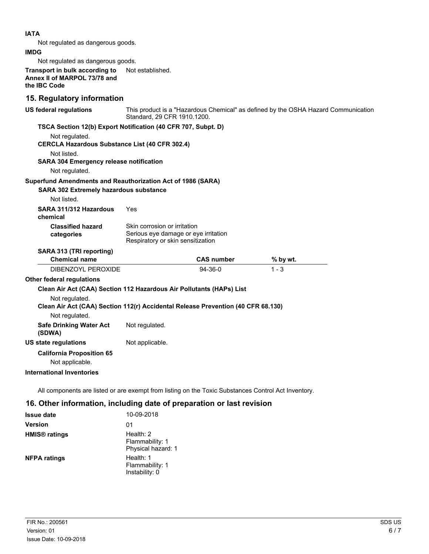#### **IATA**

Not regulated as dangerous goods.

#### **IMDG**

Not regulated as dangerous goods.

**Transport in bulk according to** Not established. **Annex II of MARPOL 73/78 and the IBC Code**

### **15. Regulatory information**

| <b>US federal regulations</b>                                                                      | This product is a "Hazardous Chemical" as defined by the OSHA Hazard Communication<br>Standard, 29 CFR 1910.1200. |                   |         |          |  |
|----------------------------------------------------------------------------------------------------|-------------------------------------------------------------------------------------------------------------------|-------------------|---------|----------|--|
| TSCA Section 12(b) Export Notification (40 CFR 707, Subpt. D)                                      |                                                                                                                   |                   |         |          |  |
| Not regulated.                                                                                     |                                                                                                                   |                   |         |          |  |
| <b>CERCLA Hazardous Substance List (40 CFR 302.4)</b>                                              |                                                                                                                   |                   |         |          |  |
| Not listed.                                                                                        |                                                                                                                   |                   |         |          |  |
| <b>SARA 304 Emergency release notification</b>                                                     |                                                                                                                   |                   |         |          |  |
| Not regulated.                                                                                     |                                                                                                                   |                   |         |          |  |
| Superfund Amendments and Reauthorization Act of 1986 (SARA)                                        |                                                                                                                   |                   |         |          |  |
| <b>SARA 302 Extremely hazardous substance</b><br>Not listed.                                       |                                                                                                                   |                   |         |          |  |
| SARA 311/312 Hazardous<br>chemical                                                                 | Yes                                                                                                               |                   |         |          |  |
| <b>Classified hazard</b><br>categories                                                             | Skin corrosion or irritation<br>Serious eye damage or eye irritation<br>Respiratory or skin sensitization         |                   |         |          |  |
| SARA 313 (TRI reporting)                                                                           |                                                                                                                   |                   |         |          |  |
| <b>Chemical name</b>                                                                               |                                                                                                                   | <b>CAS number</b> |         | % by wt. |  |
| DIBENZOYL PEROXIDE                                                                                 |                                                                                                                   | 94-36-0           | $1 - 3$ |          |  |
| <b>Other federal regulations</b>                                                                   |                                                                                                                   |                   |         |          |  |
| Clean Air Act (CAA) Section 112 Hazardous Air Pollutants (HAPs) List                               |                                                                                                                   |                   |         |          |  |
| Not regulated.<br>Clean Air Act (CAA) Section 112(r) Accidental Release Prevention (40 CFR 68.130) |                                                                                                                   |                   |         |          |  |
| Not regulated.                                                                                     |                                                                                                                   |                   |         |          |  |
| <b>Safe Drinking Water Act</b><br>(SDWA)                                                           | Not regulated.                                                                                                    |                   |         |          |  |
| US state regulations                                                                               | Not applicable.                                                                                                   |                   |         |          |  |
| <b>California Proposition 65</b><br>Not applicable.                                                |                                                                                                                   |                   |         |          |  |
| <b>International Inventories</b>                                                                   |                                                                                                                   |                   |         |          |  |
|                                                                                                    |                                                                                                                   |                   |         |          |  |

All components are listed or are exempt from listing on the Toxic Substances Control Act Inventory.

### **16. Other information, including date of preparation or last revision**

| <b>Issue date</b>               | 10-09-2018                                           |
|---------------------------------|------------------------------------------------------|
| <b>Version</b>                  | 01                                                   |
| <b>HMIS<sup>®</sup></b> ratings | Health: $2$<br>Flammability: 1<br>Physical hazard: 1 |
| <b>NFPA ratings</b>             | Health: 1<br>Flammability: 1<br>Instability: 0       |